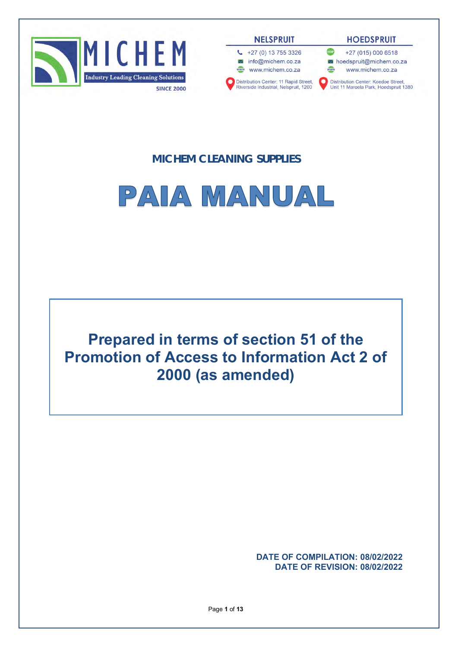

**NELSPRUIT** 



**HOEDSPRUIT** 

voir +27 (015) 000 6518 loedspruit@michem.co.za

www www.michem.co.za

Distribution Center: Koedoe Street,<br>Unit 11 Maroela Park, Hoedspruit 1380

# **MICHEM CLEANING SUPPLIES**



**Prepared in terms of section 51 of the Promotion of Access to Information Act 2 of 2000 (as amended)**

> **DATE OF COMPILATION: 08/02/2022 DATE OF REVISION: 08/02/2022**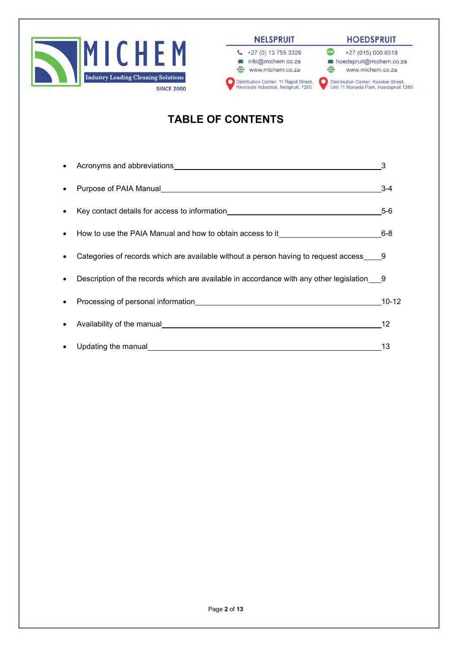



#### **HOEDSPRUIT**



# **TABLE OF CONTENTS**

| $\bullet$ | Acronyms and abbreviations <b>Exercise 2018 Acronyms</b> and abbreviations                                            | 3         |
|-----------|-----------------------------------------------------------------------------------------------------------------------|-----------|
| $\bullet$ |                                                                                                                       | $3 - 4$   |
| $\bullet$ | Key contact details for access to information <b>EXALC AN INCREDIT CONTROLLER TO A REPORT OF A REPORT OF A REPORT</b> | $5-6$     |
| $\bullet$ | How to use the PAIA Manual and how to obtain access to it_______________________                                      | $6 - 8$   |
| $\bullet$ | Categories of records which are available without a person having to request access 9                                 |           |
| $\bullet$ | Description of the records which are available in accordance with any other legislation 9                             |           |
|           |                                                                                                                       | $10 - 12$ |
| $\bullet$ |                                                                                                                       | 12        |
| $\bullet$ | Updating the manual                                                                                                   | 13        |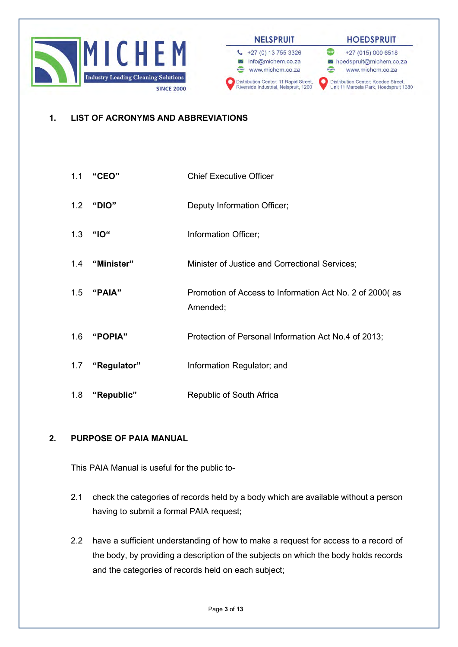

#### **HOEDSPRUIT**



## **1. LIST OF ACRONYMS AND ABBREVIATIONS**

- 1.1 **"CEO"** Chief Executive Officer
- 1.2 **"DIO"** Deputy Information Officer;
- 1.3 **"IO"** Information Officer;
- 1.4 **"Minister"** Minister of Justice and Correctional Services;
- 1.5 **"PAIA"** Promotion of Access to Information Act No. 2 of 2000( as Amended;
- 1.6 **"POPIA"** Protection of Personal Information Act No.4 of 2013;
- 1.7 **"Regulator"** Information Regulator; and
- 1.8 **"Republic"** Republic of South Africa

#### **2. PURPOSE OF PAIA MANUAL**

This PAIA Manual is useful for the public to-

- 2.1 check the categories of records held by a body which are available without a person having to submit a formal PAIA request;
- 2.2 have a sufficient understanding of how to make a request for access to a record of the body, by providing a description of the subjects on which the body holds records and the categories of records held on each subject;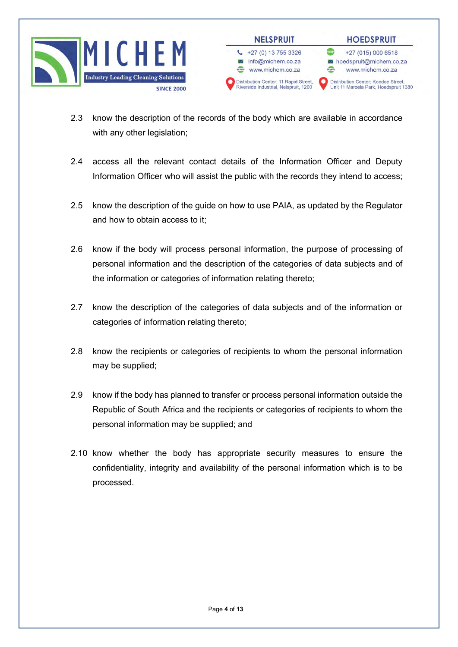



- 2.3 know the description of the records of the body which are available in accordance with any other legislation;
- 2.4 access all the relevant contact details of the Information Officer and Deputy Information Officer who will assist the public with the records they intend to access;
- 2.5 know the description of the guide on how to use PAIA, as updated by the Regulator and how to obtain access to it;
- 2.6 know if the body will process personal information, the purpose of processing of personal information and the description of the categories of data subjects and of the information or categories of information relating thereto;
- 2.7 know the description of the categories of data subjects and of the information or categories of information relating thereto;
- 2.8 know the recipients or categories of recipients to whom the personal information may be supplied;
- 2.9 know if the body has planned to transfer or process personal information outside the Republic of South Africa and the recipients or categories of recipients to whom the personal information may be supplied; and
- 2.10 know whether the body has appropriate security measures to ensure the confidentiality, integrity and availability of the personal information which is to be processed.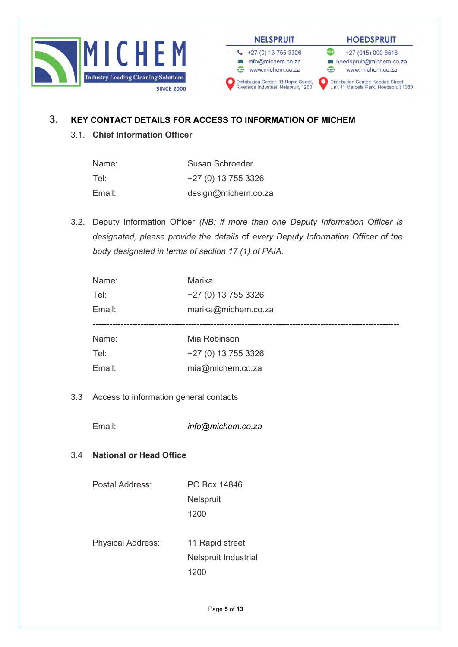



 $\leftarrow$  +27 (0) 13 755 3326

info@michem.co.za

Distribution Center: 11 Rapid Street,<br>Riverside Industrial, Nelspruit, 1200

www.michem.co.za

#### **HOEDSPRUIT**

**VOIP** +27 (015) 000 6518 loedspruit@michem.co.za www www.michem.co.za

Distribution Center: Koedoe Street,<br>Unit 11 Maroela Park, Hoedspruit 1380

## **3. KEY CONTACT DETAILS FOR ACCESS TO INFORMATION OF MICHEM**

3.1. **Chief Information Officer**

| Name:  | Susan Schroeder     |
|--------|---------------------|
| Tel:   | +27 (0) 13 755 3326 |
| Email: | design@michem.co.za |

3.2. Deputy Information Officer *(NB: if more than one Deputy Information Officer is designated, please provide the details* of *every Deputy Information Officer of the body designated in terms of section 17 (1) of PAIA.*

|     | Name:                                  | Marika               |  |
|-----|----------------------------------------|----------------------|--|
|     | Tel:                                   | +27 (0) 13 755 3326  |  |
|     | Email:                                 | marika@michem.co.za  |  |
|     |                                        |                      |  |
|     | Name:                                  | Mia Robinson         |  |
|     | Tel:                                   | +27 (0) 13 755 3326  |  |
|     | Email:                                 | mia@michem.co.za     |  |
|     |                                        |                      |  |
| 3.3 | Access to information general contacts |                      |  |
|     |                                        |                      |  |
|     | Email:                                 | info@michem.co.za    |  |
|     |                                        |                      |  |
| 3.4 | <b>National or Head Office</b>         |                      |  |
|     |                                        |                      |  |
|     | Postal Address:                        | PO Box 14846         |  |
|     |                                        | Nelspruit            |  |
|     |                                        | 1200                 |  |
|     |                                        |                      |  |
|     | Physical Address:                      | 11 Rapid street      |  |
|     |                                        | Nelspruit Industrial |  |
|     |                                        | 1200                 |  |
|     |                                        |                      |  |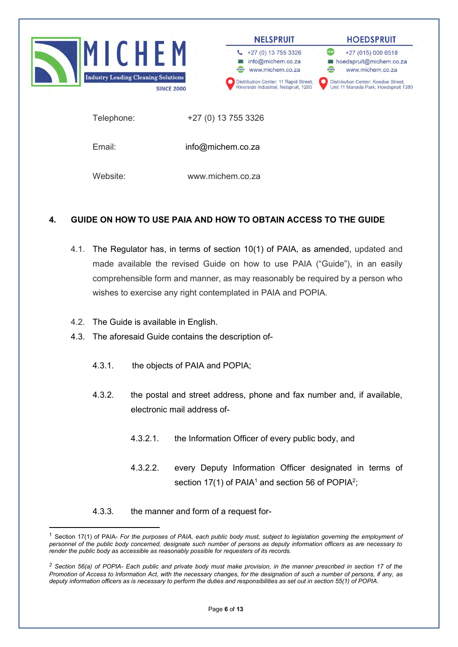



Distribution Center: 11 Rapid Street,<br>Riverside Industrial, Nelspruit, 1200

#### **HOEDSPRUIT** +27 (015) 000 6518

hoedspruit@michem.co.za www www.michem.co.za

Distribution Center: Koedoe Street,<br>Unit 11 Maroela Park, Hoedspruit 1380

Telephone: +27 (0) 13 755 3326

Email: info@michem.co.za

Website: www.michem.co.za

# **4. GUIDE ON HOW TO USE PAIA AND HOW TO OBTAIN ACCESS TO THE GUIDE**

- 4.1. The Regulator has, in terms of section 10(1) of PAIA, as amended, updated and made available the revised Guide on how to use PAIA ("Guide"), in an easily comprehensible form and manner, as may reasonably be required by a person who wishes to exercise any right contemplated in PAIA and POPIA.
- 4.2. The Guide is available in English.
- 4.3. The aforesaid Guide contains the description of-
	- 4.3.1. the objects of PAIA and POPIA;
	- 4.3.2. the postal and street address, phone and fax number and, if available, electronic mail address of-
		- 4.3.2.1. the Information Officer of every public body, and
		- 4.3.2.2. every Deputy Information Officer designated in terms of section 17(1) of PAIA<sup>1</sup> and section 56 of POPIA<sup>2</sup>;
	- 4.3.3. the manner and form of a request for-

<sup>1</sup> Section 17(1) of PAIA- *For the purposes of PAIA, each public body must, subject to legislation governing the employment of personnel of the public body concerned, designate such number of persons as deputy information officers as are necessary to render the public body as accessible as reasonably possible for requesters of its records.*

*<sup>2</sup> Section 56(a) of POPIA- Each public and private body must make provision, in the manner prescribed in section 17 of the Promotion of Access to Information Act, with the necessary changes, for the designation of such a number of persons, if any, as deputy information officers as is necessary to perform the duties and responsibilities as set out in section 55(1) of POPIA.*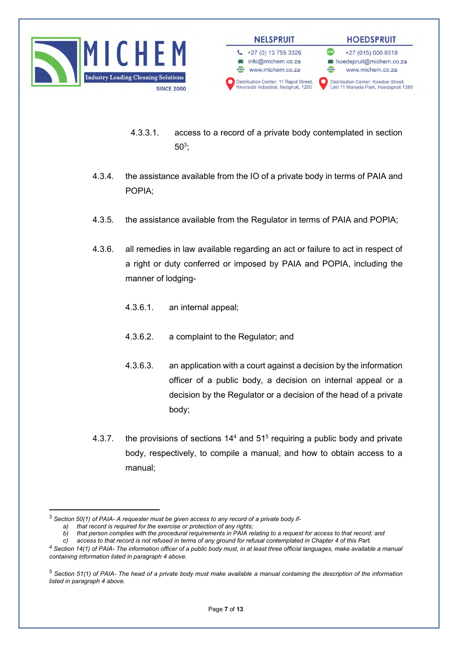



- 4.3.3.1. access to a record of a private body contemplated in section  $50^3;$
- 4.3.4. the assistance available from the IO of a private body in terms of PAIA and POPIA;
- 4.3.5. the assistance available from the Regulator in terms of PAIA and POPIA;
- 4.3.6. all remedies in law available regarding an act or failure to act in respect of a right or duty conferred or imposed by PAIA and POPIA, including the manner of lodging-
	- 4.3.6.1. an internal appeal;
	- 4.3.6.2. a complaint to the Regulator; and
	- 4.3.6.3. an application with a court against a decision by the information officer of a public body, a decision on internal appeal or a decision by the Regulator or a decision of the head of a private body;
- 4.3.7. the provisions of sections  $14<sup>4</sup>$  and  $51<sup>5</sup>$  requiring a public body and private body, respectively, to compile a manual, and how to obtain access to a manual;

<sup>3</sup> *Section 50(1) of PAIA- A requester must be given access to any record of a private body if-*

*a) that record is required for the exercise or protection of any rights;*

*b) that person complies with the procedural requirements in PAIA relating to a request for access to that record; and*

*c) access to that record is not refused in terms of any ground for refusal contemplated in Chapter 4 of this Part. <sup>4</sup> Section 14(1) of PAIA- The information officer of a public body must, in at least three official languages, make available a manual containing information listed in paragraph 4 above.*

*<sup>5</sup> Section 51(1) of PAIA- The head of a private body must make available a manual containing the description of the information listed in paragraph 4 above.*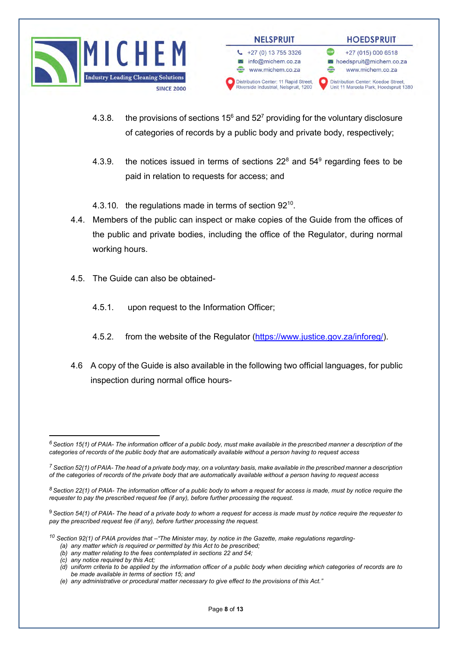



- 4.3.8. the provisions of sections  $15^6$  and  $52^7$  providing for the voluntary disclosure of categories of records by a public body and private body, respectively;
- 4.3.9. the notices issued in terms of sections  $22^8$  and  $54^9$  regarding fees to be paid in relation to requests for access; and

4.3.10. the regulations made in terms of section 92<sup>10</sup>.

- 4.4. Members of the public can inspect or make copies of the Guide from the offices of the public and private bodies, including the office of the Regulator, during normal working hours.
- 4.5. The Guide can also be obtained-
	- 4.5.1. upon request to the Information Officer;
	- 4.5.2. from the website of the Regulator [\(https://www.justice.gov.za/inforeg/\)](https://www.justice.gov.za/inforeg/).
- 4.6 A copy of the Guide is also available in the following two official languages, for public inspection during normal office hours-

*<sup>10</sup> Section 92(1) of PAIA provides that –"The Minister may, by notice in the Gazette, make regulations regarding-*

*(c) any notice required by this Act;*

*<sup>6</sup>Section 15(1) of PAIA- The information officer of a public body, must make available in the prescribed manner a description of the categories of records of the public body that are automatically available without a person having to request access*

*<sup>7</sup> Section 52(1) of PAIA- The head of a private body may, on a voluntary basis, make available in the prescribed manner a description of the categories of records of the private body that are automatically available without a person having to request access*

*<sup>8</sup> Section 22(1) of PAIA- The information officer of a public body to whom a request for access is made, must by notice require the requester to pay the prescribed request fee (if any), before further processing the request.*

<sup>9</sup> *Section 54(1) of PAIA- The head of a private body to whom a request for access is made must by notice require the requester to pay the prescribed request fee (if any), before further processing the request.*

*<sup>(</sup>a) any matter which is required or permitted by this Act to be prescribed;*

*<sup>(</sup>b) any matter relating to the fees contemplated in sections 22 and 54;*

*<sup>(</sup>d) uniform criteria to be applied by the information officer of a public body when deciding which categories of records are to be made available in terms of section 15; and*

*<sup>(</sup>e) any administrative or procedural matter necessary to give effect to the provisions of this Act."*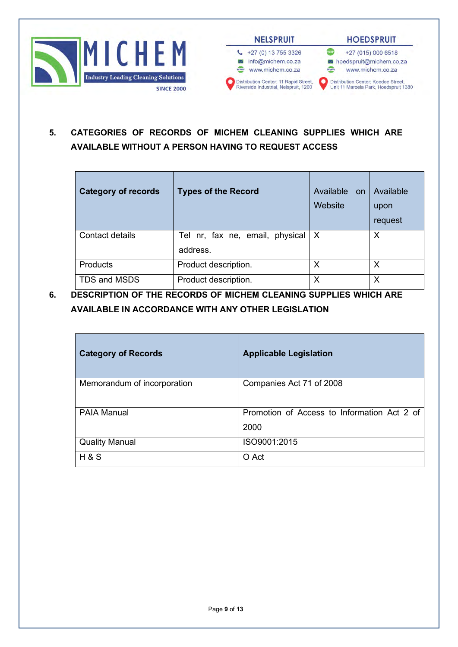



**5. CATEGORIES OF RECORDS OF MICHEM CLEANING SUPPLIES WHICH ARE AVAILABLE WITHOUT A PERSON HAVING TO REQUEST ACCESS**

| <b>Category of records</b> | <b>Types of the Record</b>      | Available on<br>Website | Available<br>upon<br>request |
|----------------------------|---------------------------------|-------------------------|------------------------------|
| Contact details            | Tel nr, fax ne, email, physical | $\mathsf{X}$            | X                            |
|                            | address.                        |                         |                              |
| <b>Products</b>            | Product description.            | Х                       | Х                            |
| TDS and MSDS               | Product description.            | Χ                       | Χ                            |

**6. DESCRIPTION OF THE RECORDS OF MICHEM CLEANING SUPPLIES WHICH ARE AVAILABLE IN ACCORDANCE WITH ANY OTHER LEGISLATION**

| <b>Category of Records</b>  | <b>Applicable Legislation</b>                       |
|-----------------------------|-----------------------------------------------------|
| Memorandum of incorporation | Companies Act 71 of 2008                            |
| <b>PAIA Manual</b>          | Promotion of Access to Information Act 2 of<br>2000 |
| <b>Quality Manual</b>       | ISO9001:2015                                        |
| H & S                       | O Act                                               |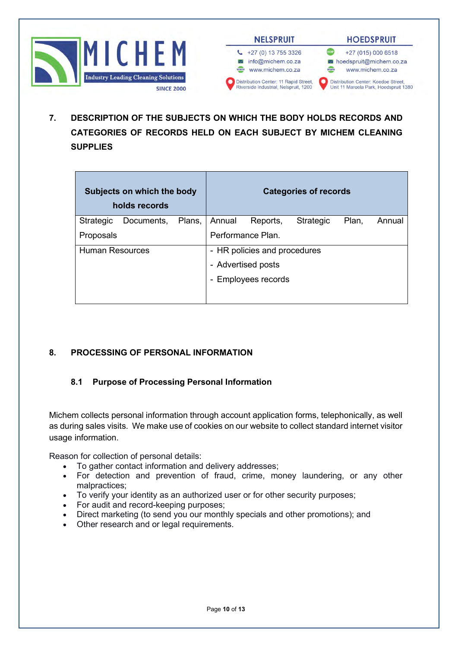



**7. DESCRIPTION OF THE SUBJECTS ON WHICH THE BODY HOLDS RECORDS AND CATEGORIES OF RECORDS HELD ON EACH SUBJECT BY MICHEM CLEANING SUPPLIES**

| Subjects on which the body<br>holds records |            |        |        |                              | <b>Categories of records</b> |       |        |
|---------------------------------------------|------------|--------|--------|------------------------------|------------------------------|-------|--------|
| Strategic                                   | Documents, | Plans, | Annual | Reports,                     | <b>Strategic</b>             | Plan, | Annual |
| Proposals                                   |            |        |        | Performance Plan.            |                              |       |        |
| <b>Human Resources</b>                      |            |        |        | - HR policies and procedures |                              |       |        |
|                                             |            |        |        | - Advertised posts           |                              |       |        |
|                                             |            |        |        | <b>Employees records</b>     |                              |       |        |
|                                             |            |        |        |                              |                              |       |        |

## **8. PROCESSING OF PERSONAL INFORMATION**

## **8.1 Purpose of Processing Personal Information**

Michem collects personal information through account application forms, telephonically, as well as during sales visits. We make use of cookies on our website to collect standard internet visitor usage information.

Reason for collection of personal details:

- To gather contact information and delivery addresses;
- For detection and prevention of fraud, crime, money laundering, or any other malpractices;
- To verify your identity as an authorized user or for other security purposes;
- For audit and record-keeping purposes;
- Direct marketing (to send you our monthly specials and other promotions); and
- Other research and or legal requirements.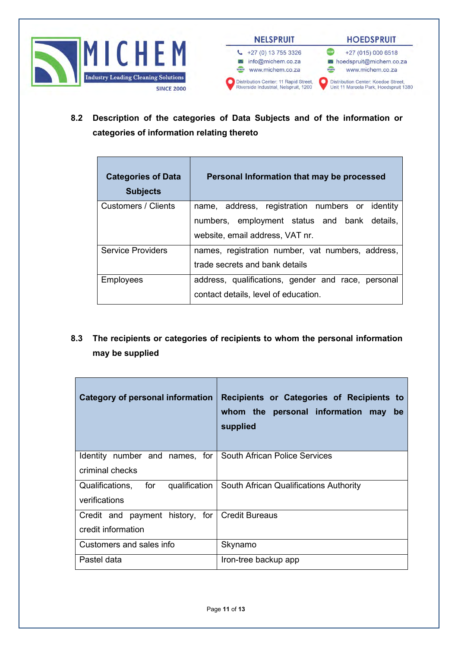



**8.2 Description of the categories of Data Subjects and of the information or categories of information relating thereto**

| <b>Categories of Data</b><br><b>Subjects</b> | Personal Information that may be processed         |
|----------------------------------------------|----------------------------------------------------|
| <b>Customers / Clients</b>                   | name, address, registration numbers or identity    |
|                                              | numbers, employment status and bank details,       |
|                                              | website, email address, VAT nr.                    |
| <b>Service Providers</b>                     | names, registration number, vat numbers, address,  |
|                                              | trade secrets and bank details                     |
| <b>Employees</b>                             | address, qualifications, gender and race, personal |
|                                              | contact details, level of education.               |

**8.3 The recipients or categories of recipients to whom the personal information may be supplied**

| Category of personal information                             | Recipients or Categories of Recipients to<br>whom the personal information may<br>be<br>supplied |
|--------------------------------------------------------------|--------------------------------------------------------------------------------------------------|
| Identity number and names, for South African Police Services |                                                                                                  |
| criminal checks                                              |                                                                                                  |
| Qualifications, for                                          | qualification   South African Qualifications Authority                                           |
| verifications                                                |                                                                                                  |
| Credit and payment history, for   Credit Bureaus             |                                                                                                  |
| credit information                                           |                                                                                                  |
| Customers and sales info                                     | Skynamo                                                                                          |
| Pastel data                                                  | Iron-tree backup app                                                                             |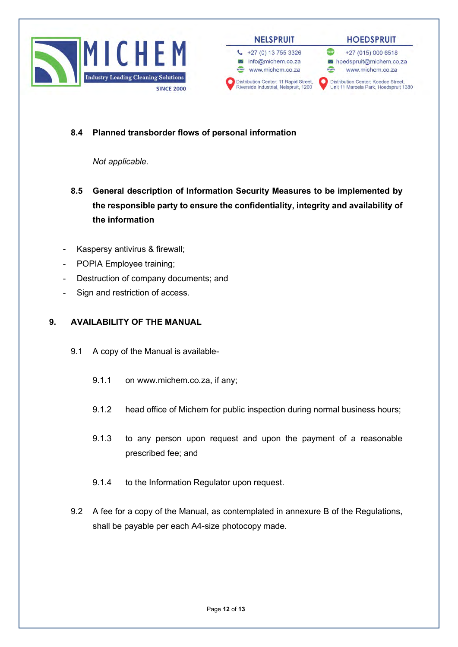



### **8.4 Planned transborder flows of personal information**

*Not applicable.*

- **8.5 General description of Information Security Measures to be implemented by the responsible party to ensure the confidentiality, integrity and availability of the information**
- Kaspersy antivirus & firewall;
- POPIA Employee training;
- Destruction of company documents; and
- Sign and restriction of access.

### **9. AVAILABILITY OF THE MANUAL**

- 9.1 A copy of the Manual is available-
	- 9.1.1 on www.michem.co.za, if any;
	- 9.1.2 head office of Michem for public inspection during normal business hours;
	- 9.1.3 to any person upon request and upon the payment of a reasonable prescribed fee; and
	- 9.1.4 to the Information Regulator upon request.
- 9.2 A fee for a copy of the Manual, as contemplated in annexure B of the Regulations, shall be payable per each A4-size photocopy made.